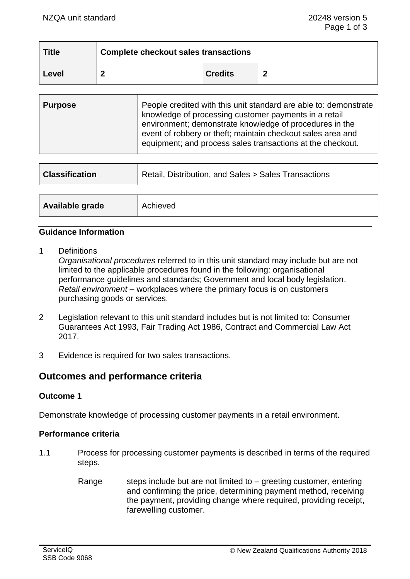| <b>Title</b> | <b>Complete checkout sales transactions</b> |                |   |
|--------------|---------------------------------------------|----------------|---|
| Level        | ◠                                           | <b>Credits</b> | Ð |

| <b>Purpose</b> | People credited with this unit standard are able to: demonstrate<br>knowledge of processing customer payments in a retail<br>environment; demonstrate knowledge of procedures in the<br>event of robbery or theft; maintain checkout sales area and<br>equipment; and process sales transactions at the checkout. |
|----------------|-------------------------------------------------------------------------------------------------------------------------------------------------------------------------------------------------------------------------------------------------------------------------------------------------------------------|
|----------------|-------------------------------------------------------------------------------------------------------------------------------------------------------------------------------------------------------------------------------------------------------------------------------------------------------------------|

| <b>Classification</b> | Retail, Distribution, and Sales > Sales Transactions |  |
|-----------------------|------------------------------------------------------|--|
| Available grade       | Achieved                                             |  |
|                       |                                                      |  |

### **Guidance Information**

1 Definitions

*Organisational procedures* referred to in this unit standard may include but are not limited to the applicable procedures found in the following: organisational performance guidelines and standards; Government and local body legislation. *Retail environment* – workplaces where the primary focus is on customers purchasing goods or services.

- 2 Legislation relevant to this unit standard includes but is not limited to: Consumer Guarantees Act 1993, Fair Trading Act 1986, Contract and Commercial Law Act 2017.
- 3 Evidence is required for two sales transactions.

# **Outcomes and performance criteria**

### **Outcome 1**

Demonstrate knowledge of processing customer payments in a retail environment.

### **Performance criteria**

- 1.1 Process for processing customer payments is described in terms of the required steps.
	- Range steps include but are not limited to  $-$  greeting customer, entering and confirming the price, determining payment method, receiving the payment, providing change where required, providing receipt, farewelling customer.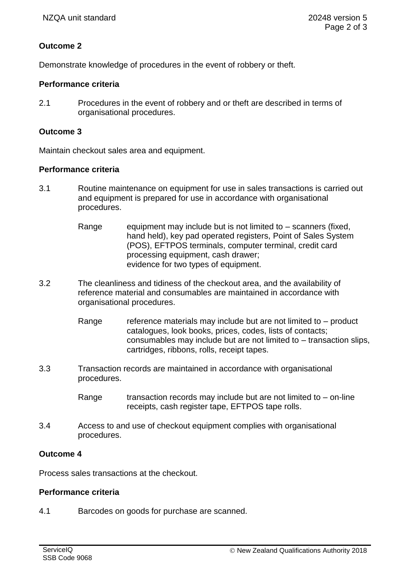# **Outcome 2**

Demonstrate knowledge of procedures in the event of robbery or theft.

### **Performance criteria**

2.1 Procedures in the event of robbery and or theft are described in terms of organisational procedures.

### **Outcome 3**

Maintain checkout sales area and equipment.

### **Performance criteria**

- 3.1 Routine maintenance on equipment for use in sales transactions is carried out and equipment is prepared for use in accordance with organisational procedures.
	- Range equipment may include but is not limited to  $-$  scanners (fixed, hand held), key pad operated registers, Point of Sales System (POS), EFTPOS terminals, computer terminal, credit card processing equipment, cash drawer; evidence for two types of equipment.
- 3.2 The cleanliness and tidiness of the checkout area, and the availability of reference material and consumables are maintained in accordance with organisational procedures.
	- Range reference materials may include but are not limited to  $-$  product catalogues, look books, prices, codes, lists of contacts; consumables may include but are not limited to – transaction slips, cartridges, ribbons, rolls, receipt tapes.
- 3.3 Transaction records are maintained in accordance with organisational procedures.
	- Range  $\blacksquare$  transaction records may include but are not limited to on-line receipts, cash register tape, EFTPOS tape rolls.
- 3.4 Access to and use of checkout equipment complies with organisational procedures.

### **Outcome 4**

Process sales transactions at the checkout.

## **Performance criteria**

4.1 Barcodes on goods for purchase are scanned.